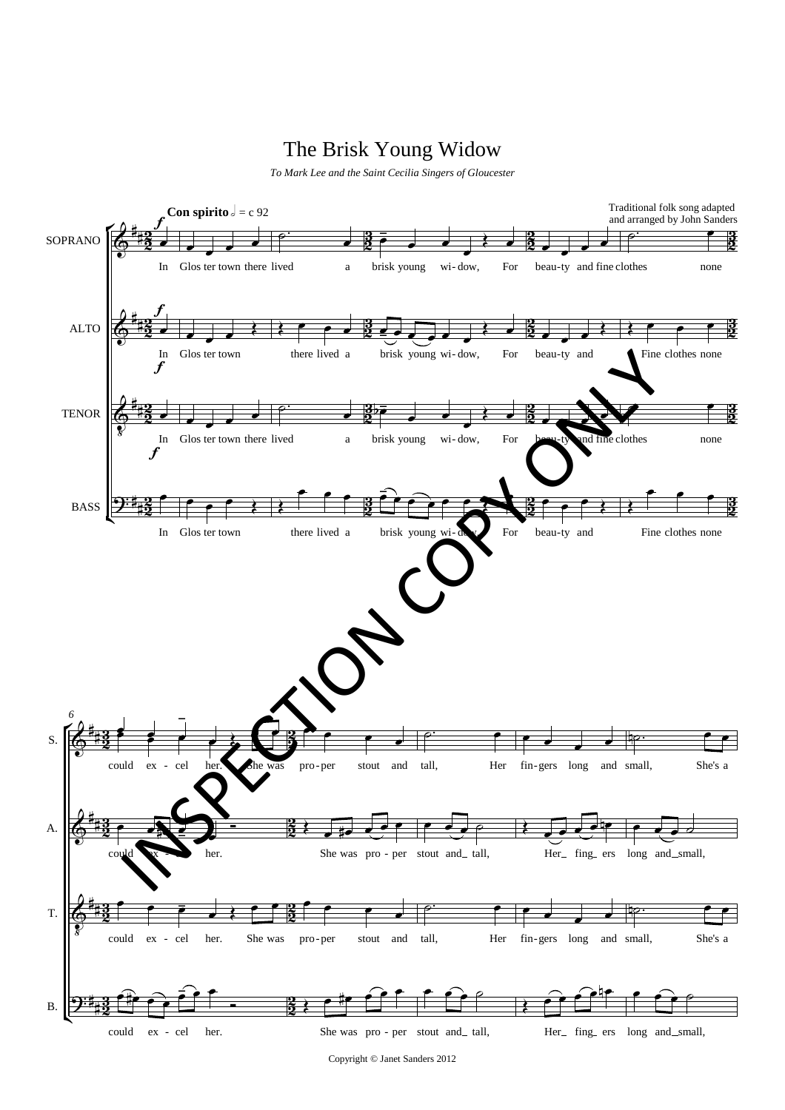## The Brisk Young Widow

*To Mark Lee and the Saint Cecilia Singers of Gloucester*



Copyright © Janet Sanders 2012